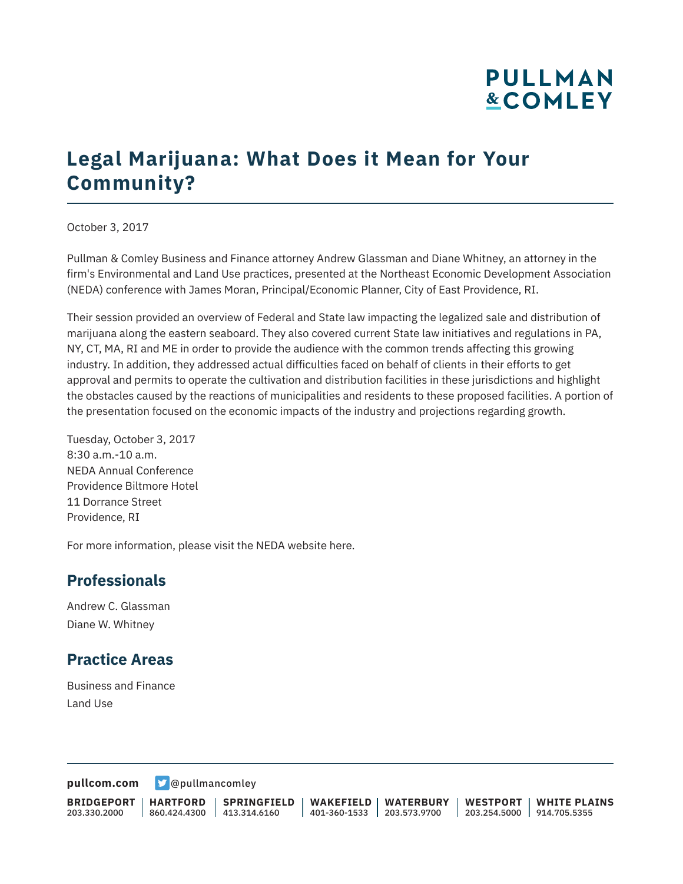# **PULLMAN &COMLEY**

## **Legal Marijuana: What Does it Mean for Your Community?**

October 3, 2017

Pullman & Comley Business and Finance attorney Andrew Glassman and Diane Whitney, an attorney in the firm's Environmental and Land Use practices, presented at the Northeast Economic Development Association (NEDA) conference with James Moran, Principal/Economic Planner, City of East Providence, RI.

Their session provided an overview of Federal and State law impacting the legalized sale and distribution of marijuana along the eastern seaboard. They also covered current State law initiatives and regulations in PA, NY, CT, MA, RI and ME in order to provide the audience with the common trends affecting this growing industry. In addition, they addressed actual difficulties faced on behalf of clients in their efforts to get approval and permits to operate the cultivation and distribution facilities in these jurisdictions and highlight the obstacles caused by the reactions of municipalities and residents to these proposed facilities. A portion of the presentation focused on the economic impacts of the industry and projections regarding growth.

Tuesday, October 3, 2017 8:30 a.m.-10 a.m. NEDA Annual Conference Providence Biltmore Hotel 11 Dorrance Street Providence, RI

For more information, please visit the NEDA website here.

#### **Professionals**

Andrew C. Glassman Diane W. Whitney

#### **Practice Areas**

Business and Finance Land Use

**[pullcom.com](https://www.pullcom.com) g** [@pullmancomley](https://twitter.com/PullmanComley)

**BRIDGEPORT** 203.330.2000

**HARTFORD** 860.424.4300 413.314.6160

**SPRINGFIELD**

**WAKEFIELD** 401-360-1533 203.573.9700 **WATERBURY**

**WESTPORT** 203.254.5000 914.705.5355 **WHITE PLAINS**